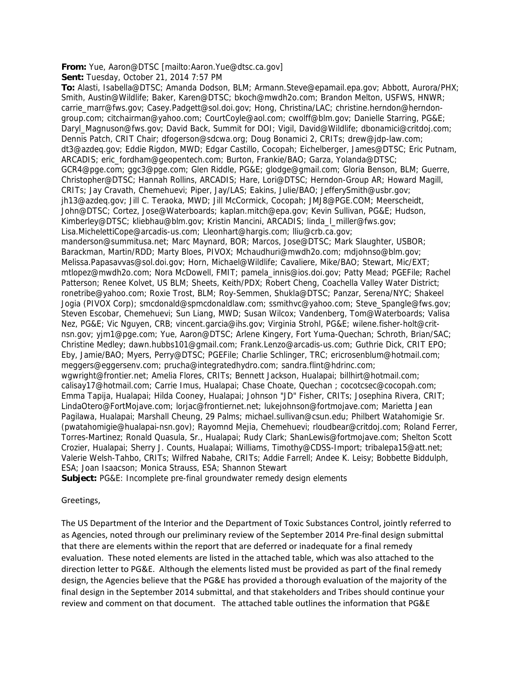## **From:** Yue, Aaron@DTSC [mailto:Aaron.Yue@dtsc.ca.gov]

**Sent:** Tuesday, October 21, 2014 7:57 PM

**To:** Alasti, Isabella@DTSC; Amanda Dodson, BLM; Armann.Steve@epamail.epa.gov; Abbott, Aurora/PHX; Smith, Austin@Wildlife; Baker, Karen@DTSC; bkoch@mwdh2o.com; Brandon Melton, USFWS, HNWR; carrie\_marr@fws.gov; Casey.Padgett@sol.doi.gov; Hong, Christina/LAC; christine.herndon@herndongroup.com; citchairman@yahoo.com; CourtCoyle@aol.com; cwolff@blm.gov; Danielle Starring, PG&E; Daryl\_Magnuson@fws.gov; David Back, Summit for DOI; Vigil, David@Wildlife; dbonamici@critdoj.com; Dennis Patch, CRIT Chair; dfogerson@sdcwa.org; Doug Bonamici 2, CRITs; drew@jdp-law.com; dt3@azdeq.gov; Eddie Rigdon, MWD; Edgar Castillo, Cocopah; Eichelberger, James@DTSC; Eric Putnam, ARCADIS; eric\_fordham@geopentech.com; Burton, Frankie/BAO; Garza, Yolanda@DTSC; GCR4@pge.com; ggc3@pge.com; Glen Riddle, PG&E; glodge@gmail.com; Gloria Benson, BLM; Guerre, Christopher@DTSC; Hannah Rollins, ARCADIS; Hare, Lori@DTSC; Herndon-Group AR; Howard Magill, CRITs; Jay Cravath, Chemehuevi; Piper, Jay/LAS; Eakins, Julie/BAO; JefferySmith@usbr.gov; jh13@azdeq.gov; Jill C. Teraoka, MWD; Jill McCormick, Cocopah; JMJ8@PGE.COM; Meerscheidt, John@DTSC; Cortez, Jose@Waterboards; kaplan.mitch@epa.gov; Kevin Sullivan, PG&E; Hudson, Kimberley@DTSC; kliebhau@blm.gov; Kristin Mancini, ARCADIS; linda\_l\_miller@fws.gov; Lisa.MichelettiCope@arcadis-us.com; Lleonhart@hargis.com; lliu@crb.ca.gov; manderson@summitusa.net; Marc Maynard, BOR; Marcos, Jose@DTSC; Mark Slaughter, USBOR; Barackman, Martin/RDD; Marty Bloes, PIVOX; Mchaudhuri@mwdh2o.com; mdjohnso@blm.gov; Melissa.Papasavvas@sol.doi.gov; Horn, Michael@Wildlife; Cavaliere, Mike/BAO; Stewart, Mic/EXT; mtlopez@mwdh2o.com; Nora McDowell, FMIT; pamela\_innis@ios.doi.gov; Patty Mead; PGEFile; Rachel Patterson; Renee Kolvet, US BLM; Sheets, Keith/PDX; Robert Cheng, Coachella Valley Water District; ronetribe@yahoo.com; Roxie Trost, BLM; Roy-Semmen, Shukla@DTSC; Panzar, Serena/NYC; Shakeel Jogia (PIVOX Corp); smcdonald@spmcdonaldlaw.com; ssmithvc@yahoo.com; Steve\_Spangle@fws.gov; Steven Escobar, Chemehuevi; Sun Liang, MWD; Susan Wilcox; Vandenberg, Tom@Waterboards; Valisa Nez, PG&E; Vic Nguyen, CRB; vincent.garcia@ihs.gov; Virginia Strohl, PG&E; wilene.fisher-holt@critnsn.gov; yjm1@pge.com; Yue, Aaron@DTSC; Arlene Kingery, Fort Yuma-Quechan; Schroth, Brian/SAC; Christine Medley; dawn.hubbs101@gmail.com; Frank.Lenzo@arcadis-us.com; Guthrie Dick, CRIT EPO; Eby, Jamie/BAO; Myers, Perry@DTSC; PGEFile; Charlie Schlinger, TRC; ericrosenblum@hotmail.com; meggers@eggersenv.com; prucha@integratedhydro.com; sandra.flint@hdrinc.com; wgwright@frontier.net; Amelia Flores, CRITs; Bennett Jackson, Hualapai; billhirt@hotmail.com; calisay17@hotmail.com; Carrie Imus, Hualapai; Chase Choate, Quechan ; cocotcsec@cocopah.com; Emma Tapija, Hualapai; Hilda Cooney, Hualapai; Johnson "JD" Fisher, CRITs; Josephina Rivera, CRIT; LindaOtero@FortMojave.com; lorjac@frontiernet.net; lukejohnson@fortmojave.com; Marietta Jean Pagilawa, Hualapai; Marshall Cheung, 29 Palms; michael.sullivan@csun.edu; Philbert Watahomigie Sr. (pwatahomigie@hualapai-nsn.gov); Rayomnd Mejia, Chemehuevi; rloudbear@critdoj.com; Roland Ferrer, Torres-Martinez; Ronald Quasula, Sr., Hualapai; Rudy Clark; ShanLewis@fortmojave.com; Shelton Scott Crozier, Hualapai; Sherry J. Counts, Hualapai; Williams, Timothy@CDSS-Import; tribalepa15@att.net; Valerie Welsh-Tahbo, CRITs; Wilfred Nabahe, CRITs; Addie Farrell; Andee K. Leisy; Bobbette Biddulph, ESA; Joan Isaacson; Monica Strauss, ESA; Shannon Stewart

**Subject:** PG&E: Incomplete pre-final groundwater remedy design elements

## Greetings,

The US Department of the Interior and the Department of Toxic Substances Control, jointly referred to as Agencies, noted through our preliminary review of the September 2014 Pre-final design submittal that there are elements within the report that are deferred or inadequate for a final remedy evaluation. These noted elements are listed in the attached table, which was also attached to the direction letter to PG&E. Although the elements listed must be provided as part of the final remedy design, the Agencies believe that the PG&E has provided a thorough evaluation of the majority of the final design in the September 2014 submittal, and that stakeholders and Tribes should continue your review and comment on that document. The attached table outlines the information that PG&E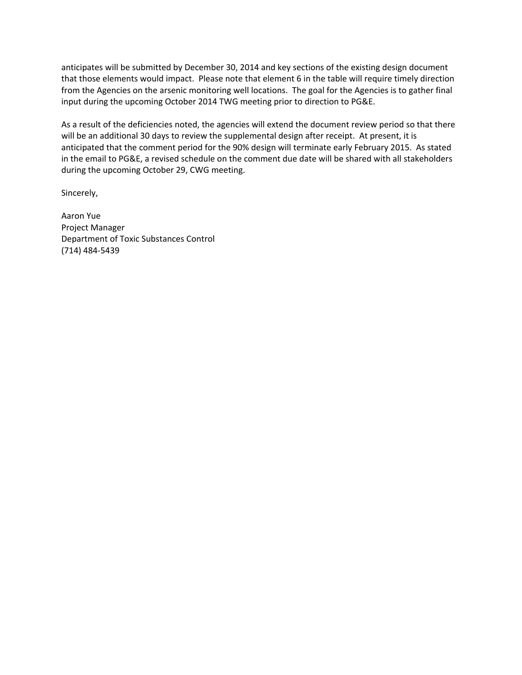anticipates will be submitted by December 30, 2014 and key sections of the existing design document that those elements would impact. Please note that element 6 in the table will require timely direction from the Agencies on the arsenic monitoring well locations. The goal for the Agencies is to gather final input during the upcoming October 2014 TWG meeting prior to direction to PG&E.

As a result of the deficiencies noted, the agencies will extend the document review period so that there will be an additional 30 days to review the supplemental design after receipt. At present, it is anticipated that the comment period for the 90% design will terminate early February 2015. As stated in the email to PG&E, a revised schedule on the comment due date will be shared with all stakeholders during the upcoming October 29, CWG meeting.

Sincerely,

Aaron Yue Project Manager Department of Toxic Substances Control (714) 484‐5439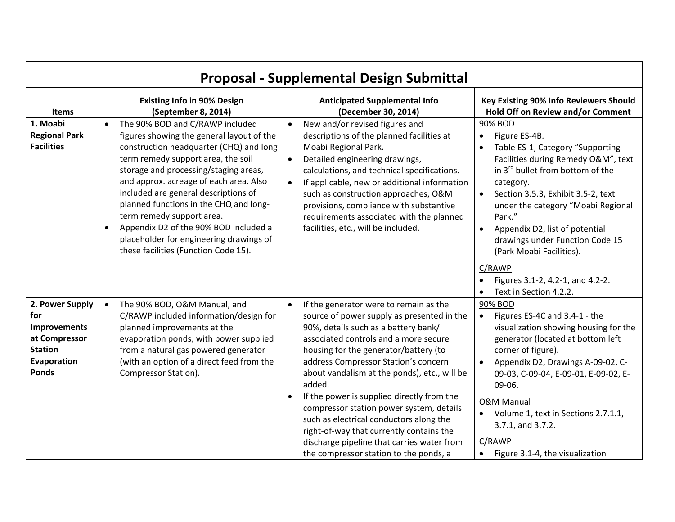| <b>Proposal - Supplemental Design Submittal</b>                                                                 |                                                                                                                                                                                                                                                                                                                                                                                                                                                                                                                       |                                                                                                                                                                                                                                                                                                                                                                                                                                                                                                                                                                                                        |                                                                                                                                                                                                                                                                                                                                                                                                              |  |  |  |
|-----------------------------------------------------------------------------------------------------------------|-----------------------------------------------------------------------------------------------------------------------------------------------------------------------------------------------------------------------------------------------------------------------------------------------------------------------------------------------------------------------------------------------------------------------------------------------------------------------------------------------------------------------|--------------------------------------------------------------------------------------------------------------------------------------------------------------------------------------------------------------------------------------------------------------------------------------------------------------------------------------------------------------------------------------------------------------------------------------------------------------------------------------------------------------------------------------------------------------------------------------------------------|--------------------------------------------------------------------------------------------------------------------------------------------------------------------------------------------------------------------------------------------------------------------------------------------------------------------------------------------------------------------------------------------------------------|--|--|--|
| <b>Items</b>                                                                                                    | <b>Existing Info in 90% Design</b><br>(September 8, 2014)                                                                                                                                                                                                                                                                                                                                                                                                                                                             | <b>Anticipated Supplemental Info</b><br>(December 30, 2014)                                                                                                                                                                                                                                                                                                                                                                                                                                                                                                                                            | Key Existing 90% Info Reviewers Should<br>Hold Off on Review and/or Comment                                                                                                                                                                                                                                                                                                                                  |  |  |  |
| 1. Moabi<br><b>Regional Park</b><br><b>Facilities</b>                                                           | The 90% BOD and C/RAWP included<br>$\bullet$<br>figures showing the general layout of the<br>construction headquarter (CHQ) and long<br>term remedy support area, the soil<br>storage and processing/staging areas,<br>and approx. acreage of each area. Also<br>included are general descriptions of<br>planned functions in the CHQ and long-<br>term remedy support area.<br>Appendix D2 of the 90% BOD included a<br>$\bullet$<br>placeholder for engineering drawings of<br>these facilities (Function Code 15). | New and/or revised figures and<br>$\bullet$<br>descriptions of the planned facilities at<br>Moabi Regional Park.<br>Detailed engineering drawings,<br>$\bullet$<br>calculations, and technical specifications.<br>If applicable, new or additional information<br>$\bullet$<br>such as construction approaches, O&M<br>provisions, compliance with substantive<br>requirements associated with the planned<br>facilities, etc., will be included.                                                                                                                                                      | 90% BOD<br>Figure ES-4B.<br>$\bullet$<br>Table ES-1, Category "Supporting<br>Facilities during Remedy O&M", text<br>in 3 <sup>rd</sup> bullet from bottom of the<br>category.<br>Section 3.5.3, Exhibit 3.5-2, text<br>$\bullet$<br>under the category "Moabi Regional<br>Park."<br>Appendix D2, list of potential<br>$\bullet$<br>drawings under Function Code 15<br>(Park Moabi Facilities).               |  |  |  |
|                                                                                                                 |                                                                                                                                                                                                                                                                                                                                                                                                                                                                                                                       |                                                                                                                                                                                                                                                                                                                                                                                                                                                                                                                                                                                                        | C/RAWP<br>Figures 3.1-2, 4.2-1, and 4.2-2.<br>Text in Section 4.2.2.                                                                                                                                                                                                                                                                                                                                         |  |  |  |
| 2. Power Supply<br>for<br><b>Improvements</b><br>at Compressor<br><b>Station</b><br>Evaporation<br><b>Ponds</b> | The 90% BOD, O&M Manual, and<br>$\bullet$<br>C/RAWP included information/design for<br>planned improvements at the<br>evaporation ponds, with power supplied<br>from a natural gas powered generator<br>(with an option of a direct feed from the<br>Compressor Station).                                                                                                                                                                                                                                             | If the generator were to remain as the<br>$\bullet$<br>source of power supply as presented in the<br>90%, details such as a battery bank/<br>associated controls and a more secure<br>housing for the generator/battery (to<br>address Compressor Station's concern<br>about vandalism at the ponds), etc., will be<br>added.<br>If the power is supplied directly from the<br>compressor station power system, details<br>such as electrical conductors along the<br>right-of-way that currently contains the<br>discharge pipeline that carries water from<br>the compressor station to the ponds, a | 90% BOD<br>Figures ES-4C and 3.4-1 - the<br>$\bullet$<br>visualization showing housing for the<br>generator (located at bottom left<br>corner of figure).<br>Appendix D2, Drawings A-09-02, C-<br>$\bullet$<br>09-03, C-09-04, E-09-01, E-09-02, E-<br>09-06.<br><b>O&amp;M Manual</b><br>Volume 1, text in Sections 2.7.1.1,<br>3.7.1, and 3.7.2.<br>C/RAWP<br>Figure 3.1-4, the visualization<br>$\bullet$ |  |  |  |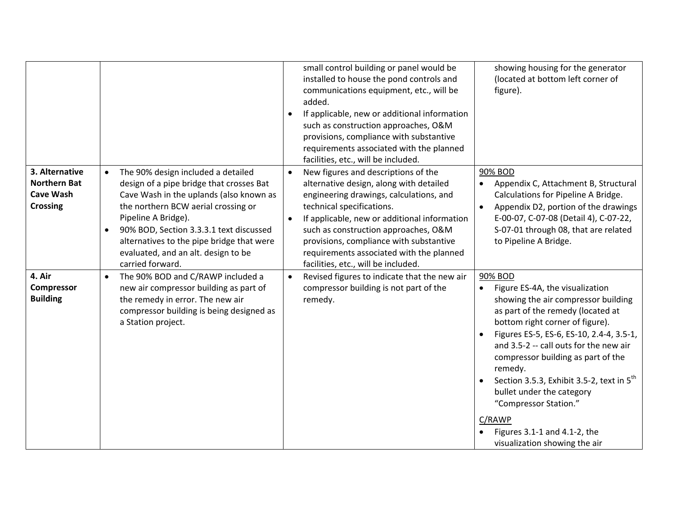|                                                                              |                                                                                                                                                                                                                                                                                                                                                                      | small control building or panel would be<br>installed to house the pond controls and<br>communications equipment, etc., will be<br>added.<br>If applicable, new or additional information<br>$\bullet$<br>such as construction approaches, O&M<br>provisions, compliance with substantive<br>requirements associated with the planned<br>facilities, etc., will be included.                           | showing housing for the generator<br>(located at bottom left corner of<br>figure).                                                                                                                                                                                                                                                                                                                                                                                                  |
|------------------------------------------------------------------------------|----------------------------------------------------------------------------------------------------------------------------------------------------------------------------------------------------------------------------------------------------------------------------------------------------------------------------------------------------------------------|--------------------------------------------------------------------------------------------------------------------------------------------------------------------------------------------------------------------------------------------------------------------------------------------------------------------------------------------------------------------------------------------------------|-------------------------------------------------------------------------------------------------------------------------------------------------------------------------------------------------------------------------------------------------------------------------------------------------------------------------------------------------------------------------------------------------------------------------------------------------------------------------------------|
| 3. Alternative<br><b>Northern Bat</b><br><b>Cave Wash</b><br><b>Crossing</b> | The 90% design included a detailed<br>$\bullet$<br>design of a pipe bridge that crosses Bat<br>Cave Wash in the uplands (also known as<br>the northern BCW aerial crossing or<br>Pipeline A Bridge).<br>90% BOD, Section 3.3.3.1 text discussed<br>$\bullet$<br>alternatives to the pipe bridge that were<br>evaluated, and an alt. design to be<br>carried forward. | New figures and descriptions of the<br>$\bullet$<br>alternative design, along with detailed<br>engineering drawings, calculations, and<br>technical specifications.<br>If applicable, new or additional information<br>$\bullet$<br>such as construction approaches, O&M<br>provisions, compliance with substantive<br>requirements associated with the planned<br>facilities, etc., will be included. | 90% BOD<br>Appendix C, Attachment B, Structural<br>Calculations for Pipeline A Bridge.<br>Appendix D2, portion of the drawings<br>$\bullet$<br>E-00-07, C-07-08 (Detail 4), C-07-22,<br>S-07-01 through 08, that are related<br>to Pipeline A Bridge.                                                                                                                                                                                                                               |
| 4. Air<br>Compressor<br><b>Building</b>                                      | The 90% BOD and C/RAWP included a<br>$\bullet$<br>new air compressor building as part of<br>the remedy in error. The new air<br>compressor building is being designed as<br>a Station project.                                                                                                                                                                       | Revised figures to indicate that the new air<br>$\bullet$<br>compressor building is not part of the<br>remedy.                                                                                                                                                                                                                                                                                         | 90% BOD<br>Figure ES-4A, the visualization<br>showing the air compressor building<br>as part of the remedy (located at<br>bottom right corner of figure).<br>Figures ES-5, ES-6, ES-10, 2.4-4, 3.5-1,<br>and 3.5-2 -- call outs for the new air<br>compressor building as part of the<br>remedy.<br>Section 3.5.3, Exhibit 3.5-2, text in $5^{th}$<br>bullet under the category<br>"Compressor Station."<br>C/RAWP<br>Figures 3.1-1 and 4.1-2, the<br>visualization showing the air |